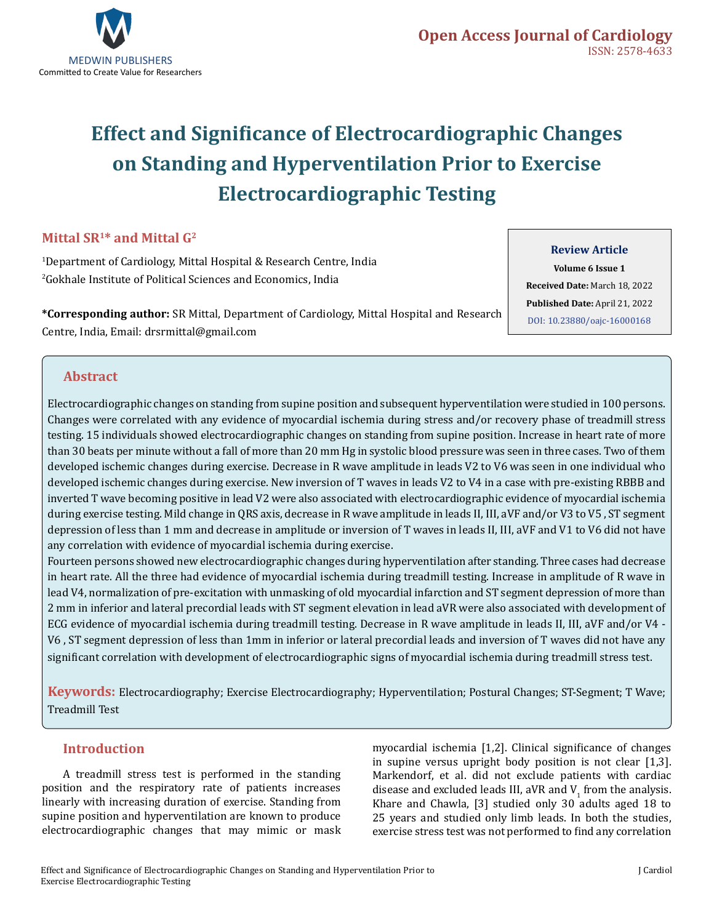

# **Effect and Significance of Electrocardiographic Changes on Standing and Hyperventilation Prior to Exercise Electrocardiographic Testing**

### **Mittal SR1\* and Mittal G2**

1 Department of Cardiology, Mittal Hospital & Research Centre, India 2 Gokhale Institute of Political Sciences and Economics, India

**\*Corresponding author:** SR Mittal, Department of Cardiology, Mittal Hospital and Research Centre, India, Email: drsrmittal@gmail.com

### **Review Article**

**Volume 6 Issue 1 Received Date:** March 18, 2022 **Published Date:** April 21, 2022 [DOI: 10.23880/oajc-16000168](https://doi.org/10.23880/oajc-16000168)

### **Abstract**

Electrocardiographic changes on standing from supine position and subsequent hyperventilation were studied in 100 persons. Changes were correlated with any evidence of myocardial ischemia during stress and/or recovery phase of treadmill stress testing. 15 individuals showed electrocardiographic changes on standing from supine position. Increase in heart rate of more than 30 beats per minute without a fall of more than 20 mm Hg in systolic blood pressure was seen in three cases. Two of them developed ischemic changes during exercise. Decrease in R wave amplitude in leads V2 to V6 was seen in one individual who developed ischemic changes during exercise. New inversion of T waves in leads V2 to V4 in a case with pre-existing RBBB and inverted T wave becoming positive in lead V2 were also associated with electrocardiographic evidence of myocardial ischemia during exercise testing. Mild change in QRS axis, decrease in R wave amplitude in leads II, III, aVF and/or V3 to V5 , ST segment depression of less than 1 mm and decrease in amplitude or inversion of T waves in leads II, III, aVF and V1 to V6 did not have any correlation with evidence of myocardial ischemia during exercise.

Fourteen persons showed new electrocardiographic changes during hyperventilation after standing. Three cases had decrease in heart rate. All the three had evidence of myocardial ischemia during treadmill testing. Increase in amplitude of R wave in lead V4, normalization of pre-excitation with unmasking of old myocardial infarction and ST segment depression of more than 2 mm in inferior and lateral precordial leads with ST segment elevation in lead aVR were also associated with development of ECG evidence of myocardial ischemia during treadmill testing. Decrease in R wave amplitude in leads II, III, aVF and/or V4 - V6 , ST segment depression of less than 1mm in inferior or lateral precordial leads and inversion of T waves did not have any significant correlation with development of electrocardiographic signs of myocardial ischemia during treadmill stress test.

**Keywords:** Electrocardiography; Exercise Electrocardiography; Hyperventilation; Postural Changes; ST-Segment; T Wave; Treadmill Test

### **Introduction**

A treadmill stress test is performed in the standing position and the respiratory rate of patients increases linearly with increasing duration of exercise. Standing from supine position and hyperventilation are known to produce electrocardiographic changes that may mimic or mask myocardial ischemia [1,2]. Clinical significance of changes in supine versus upright body position is not clear [1,3]. Markendorf, et al. did not exclude patients with cardiac disease and excluded leads III,  $\frac{dV_1}{dt}$  from the analysis. Khare and Chawla, [3] studied only 30 adults aged 18 to 25 years and studied only limb leads. In both the studies, exercise stress test was not performed to find any correlation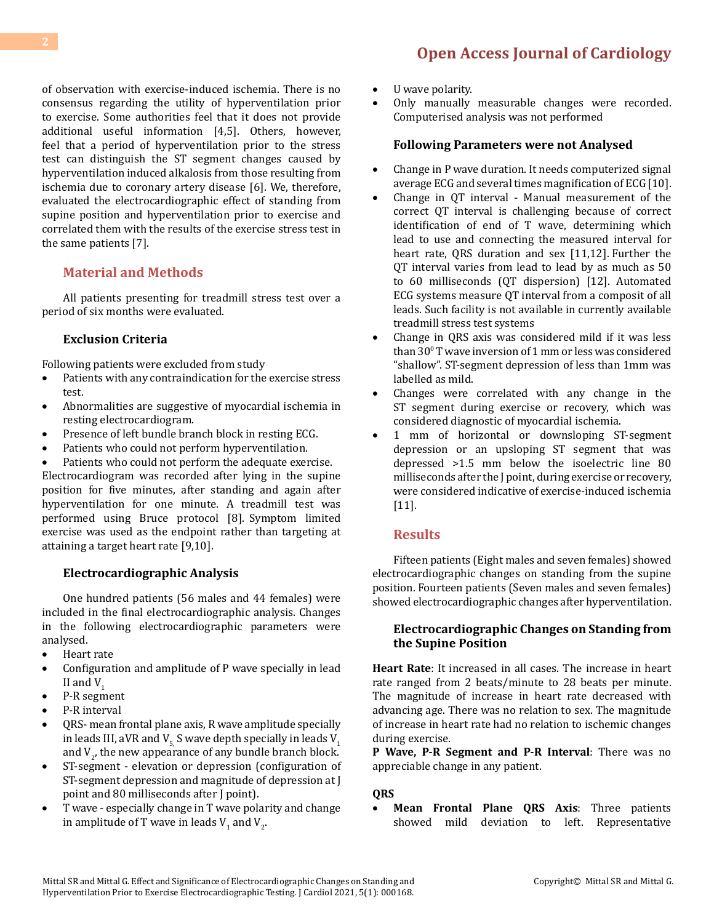of observation with exercise-induced ischemia. There is no consensus regarding the utility of hyperventilation prior to exercise. Some authorities feel that it does not provide additional useful information [4,5]. Others, however, feel that a period of hyperventilation prior to the stress test can distinguish the ST segment changes caused by hyperventilation induced alkalosis from those resulting from ischemia due to coronary artery disease [6]. We, therefore, evaluated the electrocardiographic effect of standing from supine position and hyperventilation prior to exercise and correlated them with the results of the exercise stress test in the same patients [7].

### **Material and Methods**

All patients presenting for treadmill stress test over a period of six months were evaluated.

### **Exclusion Criteria**

Following patients were excluded from study

- Patients with any contraindication for the exercise stress test.
- Abnormalities are suggestive of myocardial ischemia in resting electrocardiogram.
- Presence of left bundle branch block in resting ECG.
- Patients who could not perform hyperventilation.
- Patients who could not perform the adequate exercise.

Electrocardiogram was recorded after lying in the supine position for five minutes, after standing and again after hyperventilation for one minute. A treadmill test was performed using Bruce protocol [8]. Symptom limited exercise was used as the endpoint rather than targeting at attaining a target heart rate [9,10].

#### **Electrocardiographic Analysis**

One hundred patients (56 males and 44 females) were included in the final electrocardiographic analysis. Changes in the following electrocardiographic parameters were analysed.

- • Heart rate
- • Configuration and amplitude of P wave specially in lead II and  $V_1$
- • P-R segment
- P-R interval
- QRS- mean frontal plane axis, R wave amplitude specially in leads III, aVR and  $V_5$  S wave depth specially in leads  $V_1$ and  $V_{2}$ , the new appearance of any bundle branch block.
- ST-segment elevation or depression (configuration of ST-segment depression and magnitude of depression at J point and 80 milliseconds after J point).
- T wave especially change in T wave polarity and change in amplitude of T wave in leads  $\mathsf{V}_1$  and  $\mathsf{V}_2$ .
- • U wave polarity.
- Only manually measurable changes were recorded. Computerised analysis was not performed

#### **Following Parameters were not Analysed**

- Change in P wave duration. It needs computerized signal average ECG and several times magnification of ECG [10].
- Change in QT interval Manual measurement of the correct QT interval is challenging because of correct identification of end of T wave, determining which lead to use and connecting the measured interval for heart rate, QRS duration and sex [11,12]. Further the QT interval varies from lead to lead by as much as 50 to 60 milliseconds (QT dispersion) [12]. Automated ECG systems measure QT interval from a composit of all leads. Such facility is not available in currently available treadmill stress test systems
- Change in ORS axis was considered mild if it was less than 300 T wave inversion of 1 mm or less was considered "shallow". ST-segment depression of less than 1mm was labelled as mild.
- Changes were correlated with any change in the ST segment during exercise or recovery, which was considered diagnostic of myocardial ischemia.
- • 1 mm of horizontal or downsloping ST-segment depression or an upsloping ST segment that was depressed >1.5 mm below the isoelectric line 80 milliseconds after the J point, during exercise or recovery, were considered indicative of exercise-induced ischemia [11].

### **Results**

Fifteen patients (Eight males and seven females) showed electrocardiographic changes on standing from the supine position. Fourteen patients (Seven males and seven females) showed electrocardiographic changes after hyperventilation.

#### **Electrocardiographic Changes on Standing from the Supine Position**

**Heart Rate**: It increased in all cases. The increase in heart rate ranged from 2 beats/minute to 28 beats per minute. The magnitude of increase in heart rate decreased with advancing age. There was no relation to sex. The magnitude of increase in heart rate had no relation to ischemic changes during exercise.

**P Wave, P-R Segment and P-R Interval**: There was no appreciable change in any patient.

#### **QRS**

• **Mean Frontal Plane QRS Axis**: Three patients showed mild deviation to left. Representative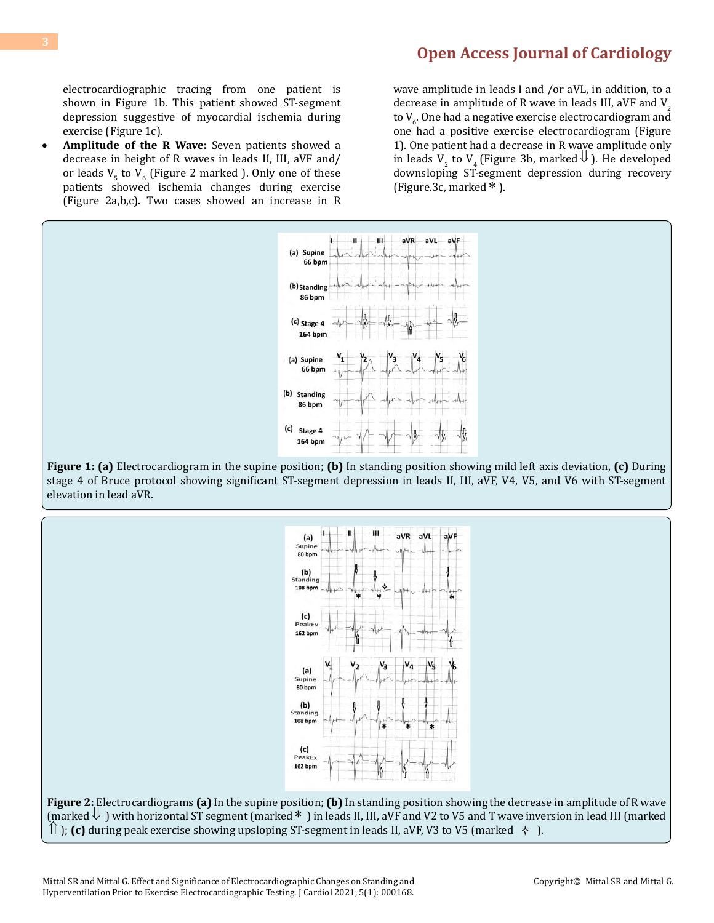electrocardiographic tracing from one patient is shown in Figure 1b. This patient showed ST-segment depression suggestive of myocardial ischemia during exercise (Figure 1c).

**Amplitude of the R Wave:** Seven patients showed a decrease in height of R waves in leads II, III, aVF and/ or leads  $V_5$  to  $V_6$  (Figure 2 marked ). Only one of these patients showed ischemia changes during exercise (Figure 2a,b,c). Two cases showed an increase in R

wave amplitude in leads I and /or aVL, in addition, to a decrease in amplitude of R wave in leads III, aVF and  $V<sub>2</sub>$ to V<sub>6.</sub> One had a negative exercise electrocardiogram and one had a positive exercise electrocardiogram (Figure 1). One patient had a decrease in R wave amplitude only in leads  $V_2$  to  $V_4$  (Figure 3b, marked  $\bigcup$  ). He developed downsloping ST-segment depression during recovery (Figure.3c, marked  $*$ ).



**Figure 1: (a)** Electrocardiogram in the supine position; **(b)** In standing position showing mild left axis deviation, **(c)** During stage 4 of Bruce protocol showing significant ST-segment depression in leads II, III, aVF, V4, V5, and V6 with ST-segment elevation in lead aVR.



**Figure 2:** Electrocardiograms **(a)** In the supine position; **(b)** In standing position showing the decrease in amplitude of R wave (marked⇓ ) with horizontal ST segment (marked∗ ) in leads II, III, aVF and V2 to V5 and T wave inversion in lead III (marked  $\parallel$  ); (c) during peak exercise showing upsloping ST-segment in leads II, aVF, V3 to V5 (marked  $\rightarrow$  ).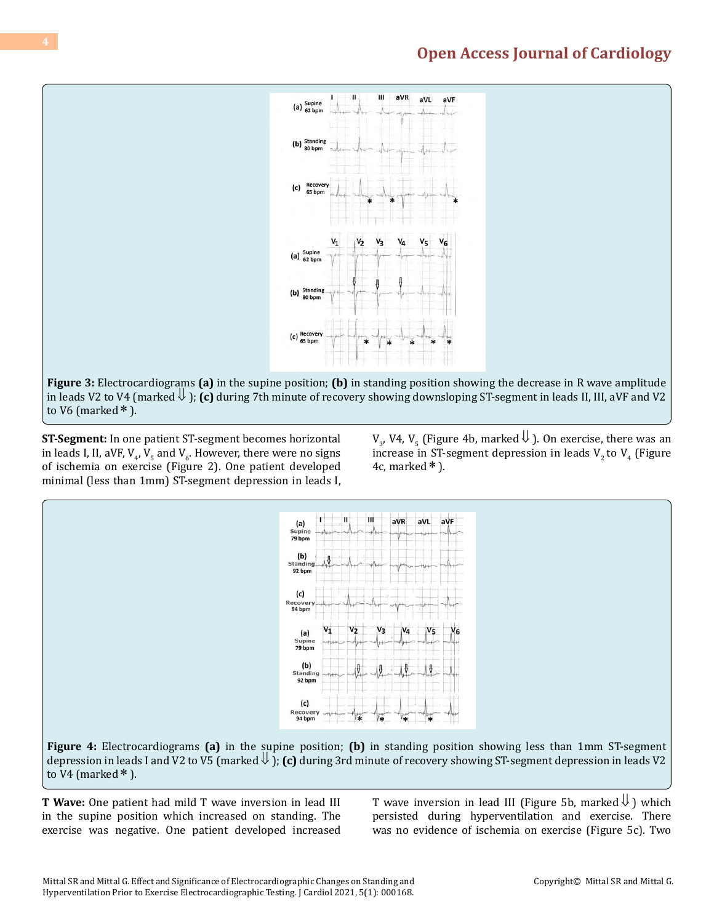

**ST-Segment:** In one patient ST-segment becomes horizontal in leads I, II, aVF,  $V_{4}$ ,  $V_{5}$  and  $V_{6}$ . However, there were no signs of ischemia on exercise (Figure 2). One patient developed minimal (less than 1mm) ST-segment depression in leads I,

 $V_3$ , V4,  $V_5$  (Figure 4b, marked  $\bigcup$  ). On exercise, there was an increase in ST-segment depression in leads  $V_2$  to  $V_4$  (Figure 4c, marked  $*$  ).



**Figure 4:** Electrocardiograms **(a)** in the supine position; **(b)** in standing position showing less than 1mm ST-segment depression in leads I and V2 to V5 (marked⇓ ); **(c)** during 3rd minute of recovery showing ST-segment depression in leads V2 to V4 (marked  $*$  ).

**T Wave:** One patient had mild T wave inversion in lead III in the supine position which increased on standing. The exercise was negative. One patient developed increased T wave inversion in lead III (Figure 5b, marked  $\downarrow$ ) which persisted during hyperventilation and exercise. There was no evidence of ischemia on exercise (Figure 5c). Two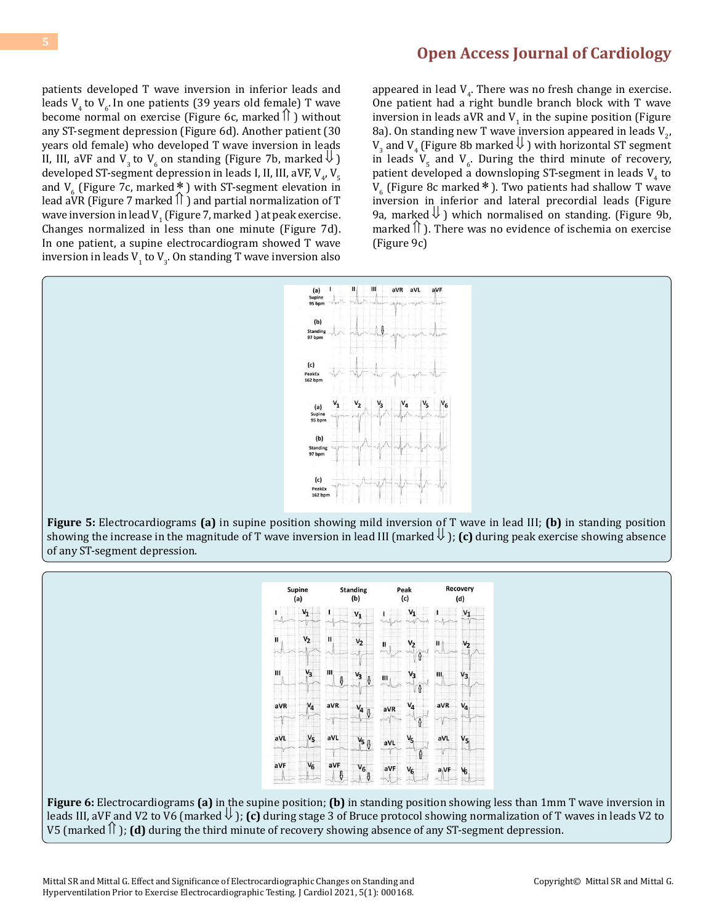patients developed T wave inversion in inferior leads and leads  $V_4$  to  $V_6$ . In one patients (39 years old female) T wave become normal on exercise (Figure 6c, marked  $\hat{\mathbb{I}}$  ) without any ST-segment depression (Figure 6d). Another patient (30 years old female) who developed T wave inversion in leads II, III, aVF and V<sub>3</sub> to V<sub>6</sub> on standing (Figure 7b, marked  $\Downarrow$  ) developed ST-segment depression in leads I, II, III, aVF, V<sub>4</sub>, V<sub>5</sub> and  $V_6$  (Figure 7c, marked \* ) with ST-segment elevation in lead aVR (Figure 7 marked  $\hat{a}$ ) and partial normalization of T wave inversion in lead V<sub>1</sub> (Figure 7, marked ) at peak exercise. Changes normalized in less than one minute (Figure 7d). In one patient, a supine electrocardiogram showed T wave inversion in leads  $V_1$  to  $V_3$ . On standing T wave inversion also

appeared in lead  $V_4$ . There was no fresh change in exercise. One patient had a right bundle branch block with T wave inversion in leads aVR and  $V_1$  in the supine position (Figure 8a). On standing new T wave inversion appeared in leads  $V_{2'}$  $V_3$  and  $V_4$  (Figure 8b marked  $\bigcup$  ) with horizontal ST segment in leads  $V_5$  and  $V_6$ . During the third minute of recovery, patient developed a downsloping ST-segment in leads  $V_4$  to  $V_6$  (Figure 8c marked \* ). Two patients had shallow T wave inversion in inferior and lateral precordial leads (Figure 9a, marked  $\downarrow$  ) which normalised on standing. (Figure 9b, marked  $\hat{\parallel}$  ). There was no evidence of ischemia on exercise (Figure 9c)



showing the increase in the magnitude of T wave inversion in lead III (marked  $\downarrow$ ); (c) during peak exercise showing absence of any ST-segment depression.



**Figure 6:** Electrocardiograms **(a)** in the supine position; **(b)** in standing position showing less than 1mm T wave inversion in leads III, aVF and V2 to V6 (marked⇓ ); **(c)** during stage 3 of Bruce protocol showing normalization of T waves in leads V2 to V5 (marked  $\hat{\parallel}$  ); **(d)** during the third minute of recovery showing absence of any ST-segment depression.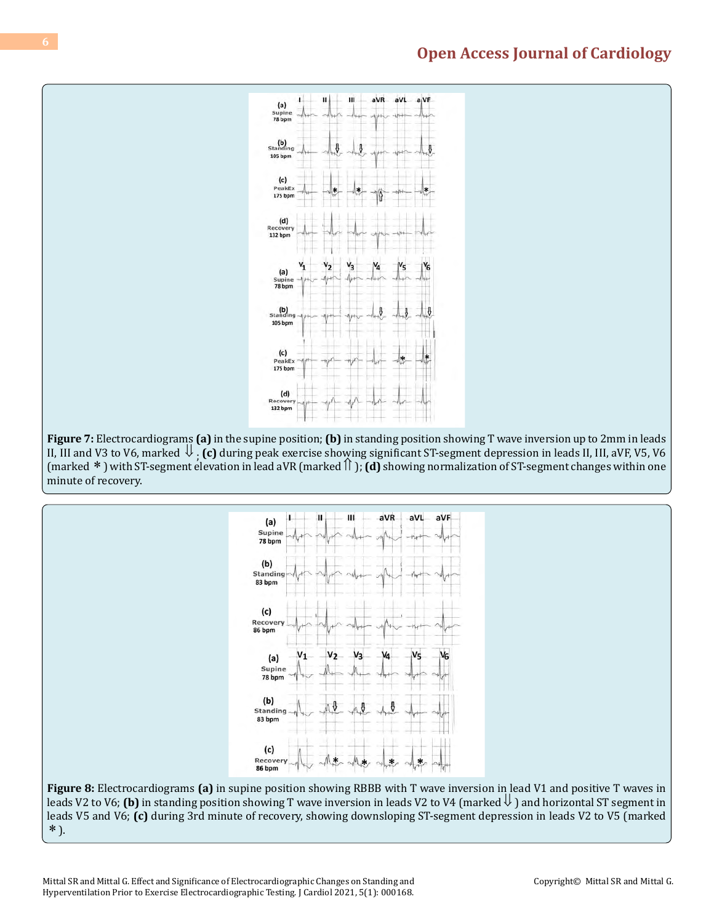

**Figure 7:** Electrocardiograms **(a)** in the supine position; **(b)** in standing position showing T wave inversion up to 2mm in leads II, III and V3 to V6, marked ⇓ ; **(c)** during peak exercise showing significant ST-segment depression in leads II, III, aVF, V5, V6 (marked ∗ ) with ST-segment elevation in lead aVR (marked⇑ ); **(d)** showing normalization of ST-segment changes within one minute of recovery.



**Figure 8:** Electrocardiograms **(a)** in supine position showing RBBB with T wave inversion in lead V1 and positive T waves in leads V2 to V6; **(b)** in standing position showing T wave inversion in leads V2 to V4 (marked  $\downarrow$  ) and horizontal ST segment in leads V5 and V6; **(c)** during 3rd minute of recovery, showing downsloping ST-segment depression in leads V2 to V5 (marked ∗ ).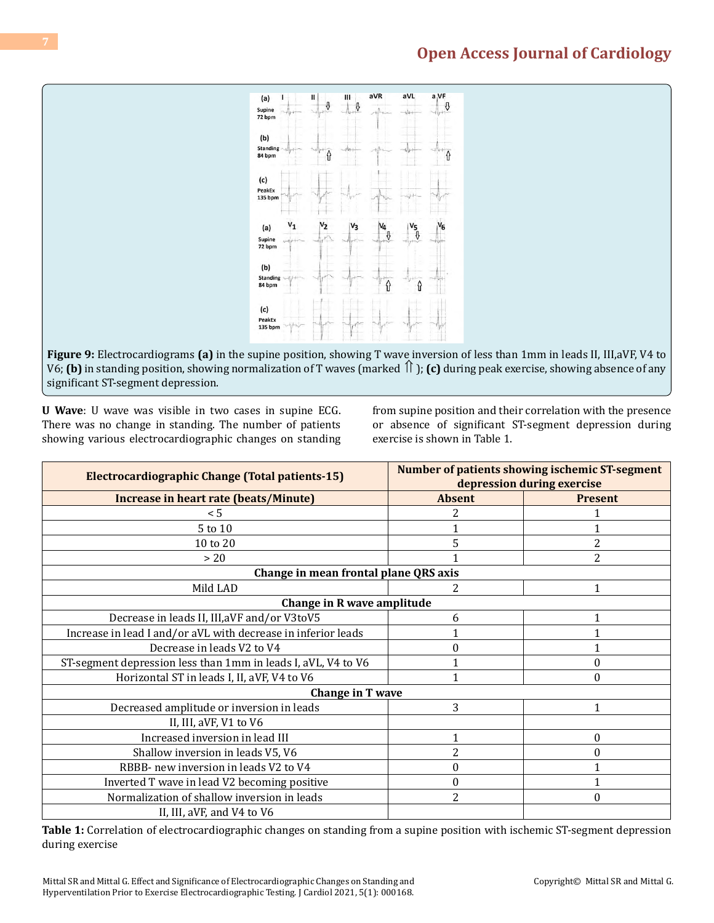

**Figure 9:** Electrocardiograms **(a)** in the supine position, showing T wave inversion of less than 1mm in leads II, III,aVF, V4 to V6; **(b)** in standing position, showing normalization of T waves (marked ⇑ ); **(c)** during peak exercise, showing absence of any significant ST-segment depression.

**U Wave**: U wave was visible in two cases in supine ECG. There was no change in standing. The number of patients showing various electrocardiographic changes on standing from supine position and their correlation with the presence or absence of significant ST-segment depression during exercise is shown in Table 1.

| <b>Electrocardiographic Change (Total patients-15)</b>        | Number of patients showing ischemic ST-segment<br>depression during exercise |                  |  |  |  |  |
|---------------------------------------------------------------|------------------------------------------------------------------------------|------------------|--|--|--|--|
| Increase in heart rate (beats/Minute)                         | <b>Absent</b>                                                                | <b>Present</b>   |  |  |  |  |
| < 5                                                           |                                                                              |                  |  |  |  |  |
| 5 to 10                                                       |                                                                              |                  |  |  |  |  |
| 10 to 20                                                      | 5                                                                            | 2                |  |  |  |  |
| $>20$                                                         |                                                                              | $\overline{2}$   |  |  |  |  |
| Change in mean frontal plane QRS axis                         |                                                                              |                  |  |  |  |  |
| Mild LAD                                                      | 2                                                                            | 1                |  |  |  |  |
|                                                               | Change in R wave amplitude                                                   |                  |  |  |  |  |
| Decrease in leads II, III, aVF and/or V3toV5                  | 6                                                                            | 1                |  |  |  |  |
| Increase in lead I and/or aVL with decrease in inferior leads |                                                                              |                  |  |  |  |  |
| Decrease in leads V2 to V4                                    |                                                                              |                  |  |  |  |  |
| ST-segment depression less than 1mm in leads I, aVL, V4 to V6 |                                                                              | $\theta$         |  |  |  |  |
| Horizontal ST in leads I, II, aVF, V4 to V6                   |                                                                              | $\Omega$         |  |  |  |  |
| Change in T wave                                              |                                                                              |                  |  |  |  |  |
| Decreased amplitude or inversion in leads                     | 3                                                                            | 1                |  |  |  |  |
| II, III, aVF, V1 to V6                                        |                                                                              |                  |  |  |  |  |
| Increased inversion in lead III                               |                                                                              | $\boldsymbol{0}$ |  |  |  |  |
| Shallow inversion in leads V5, V6                             | 2                                                                            | $\Omega$         |  |  |  |  |
| RBBB- new inversion in leads V2 to V4                         | 0                                                                            |                  |  |  |  |  |
| Inverted T wave in lead V2 becoming positive                  | 0                                                                            |                  |  |  |  |  |
| Normalization of shallow inversion in leads                   | 2                                                                            | $\theta$         |  |  |  |  |
| II, III, aVF, and V4 to V6                                    |                                                                              |                  |  |  |  |  |

**Table 1:** Correlation of electrocardiographic changes on standing from a supine position with ischemic ST-segment depression during exercise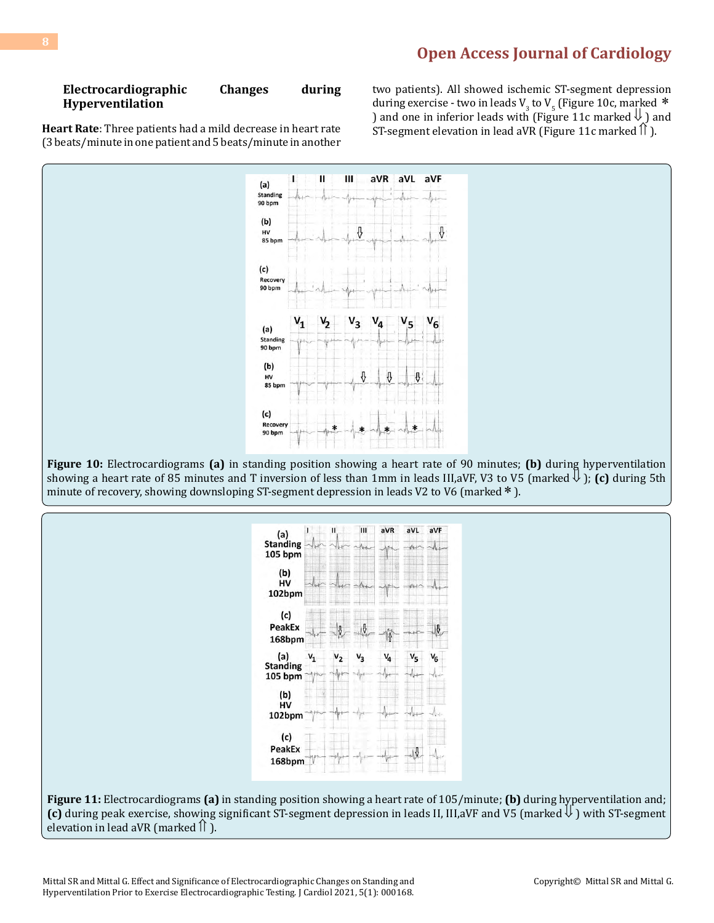#### **Electrocardiographic Changes during Hyperventilation**

**Heart Rate**: Three patients had a mild decrease in heart rate (3 beats/minute in one patient and 5 beats/minute in another two patients). All showed ischemic ST-segment depression during exercise - two in leads  $V_3$  to  $V_5$  (Figure 10c, marked  $*$ ) and one in inferior leads with (Figure 11c marked  $\downarrow$ ) and ST-segment elevation in lead aVR (Figure 11c marked  $\hat{\parallel}$ ).



**Figure 10:** Electrocardiograms **(a)** in standing position showing a heart rate of 90 minutes; **(b)** during hyperventilation showing a heart rate of 85 minutes and T inversion of less than 1mm in leads III,aVF, V3 to V5 (marked  $\downarrow$ ); (c) during 5th minute of recovery, showing downsloping ST-segment depression in leads V2 to V6 (marked <sup>\*</sup>).



**(c)** during peak exercise, showing significant ST-segment depression in leads II, III,aVF and V5 (marked  $\downarrow$ ) with ST-segment elevation in lead aVR (marked  $\parallel$  ).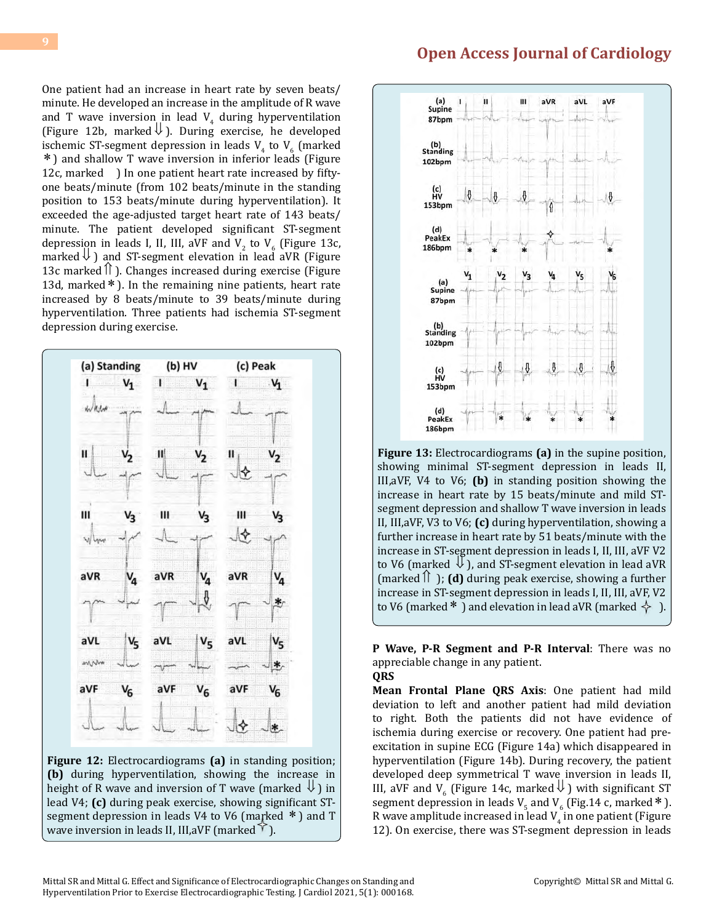One patient had an increase in heart rate by seven beats/ minute. He developed an increase in the amplitude of R wave and T wave inversion in lead  $V_4$  during hyperventilation (Figure 12b, marked  $\downarrow$ ). During exercise, he developed ischemic ST-segment depression in leads  $V_4$  to  $V_6$  (marked ∗ ) and shallow T wave inversion in inferior leads (Figure 12c, marked ) In one patient heart rate increased by fiftyone beats/minute (from 102 beats/minute in the standing position to 153 beats/minute during hyperventilation). It exceeded the age-adjusted target heart rate of 143 beats/ minute. The patient developed significant ST-segment depression in leads I, II, III, aVF and  $V_2$  to  $V_6$  (Figure 13c, marked  $\bigcup$  ) and ST-segment elevation in lead aVR (Figure 13c marked  $\hat{\parallel}$  ). Changes increased during exercise (Figure 13d, marked∗ ). In the remaining nine patients, heart rate increased by 8 beats/minute to 39 beats/minute during hyperventilation. Three patients had ischemia ST-segment depression during exercise.



**Figure 12:** Electrocardiograms **(a)** in standing position; **(b)** during hyperventilation, showing the increase in height of R wave and inversion of T wave (marked  $\downarrow$ ) in lead V4; **(c)** during peak exercise, showing significant STsegment depression in leads V4 to V6 (marked  $*$ ) and T wave inversion in leads II, III, aVF (marked  $\Upsilon$ ).

## **[Open Access Journal of Cardiology](https://medwinpublishers.com/OAJC/)**



**Figure 13:** Electrocardiograms **(a)** in the supine position, showing minimal ST-segment depression in leads II, III,aVF, V4 to V6; **(b)** in standing position showing the increase in heart rate by 15 beats/minute and mild STsegment depression and shallow T wave inversion in leads II, III,aVF, V3 to V6; **(c)** during hyperventilation, showing a further increase in heart rate by 51 beats/minute with the increase in ST-segment depression in leads I, II, III, aVF V2 to V6 (marked  $\bigcup$  ), and ST-segment elevation in lead aVR  ${\rm (marked \,} \hat{\mathcal{L}})$ : **(d)** during peak exercise, showing a further increase in ST-segment depression in leads I, II, III, aVF, V2 to V6 (marked \*) and elevation in lead aVR (marked  $\leftrightarrow$ ).

**P Wave, P-R Segment and P-R Interval**: There was no appreciable change in any patient. **QRS** 

**Mean Frontal Plane QRS Axis**: One patient had mild deviation to left and another patient had mild deviation to right. Both the patients did not have evidence of ischemia during exercise or recovery. One patient had preexcitation in supine ECG (Figure 14a) which disappeared in hyperventilation (Figure 14b). During recovery, the patient developed deep symmetrical T wave inversion in leads II, III, aVF and  $V_6$  (Figure 14c, marked  $\bigcup$  ) with significant ST segment depression in leads  $V_5$  and  $V_6$  (Fig.14 c, marked \*). R wave amplitude increased in lead  $V_4$  in one patient (Figure 12). On exercise, there was ST-segment depression in leads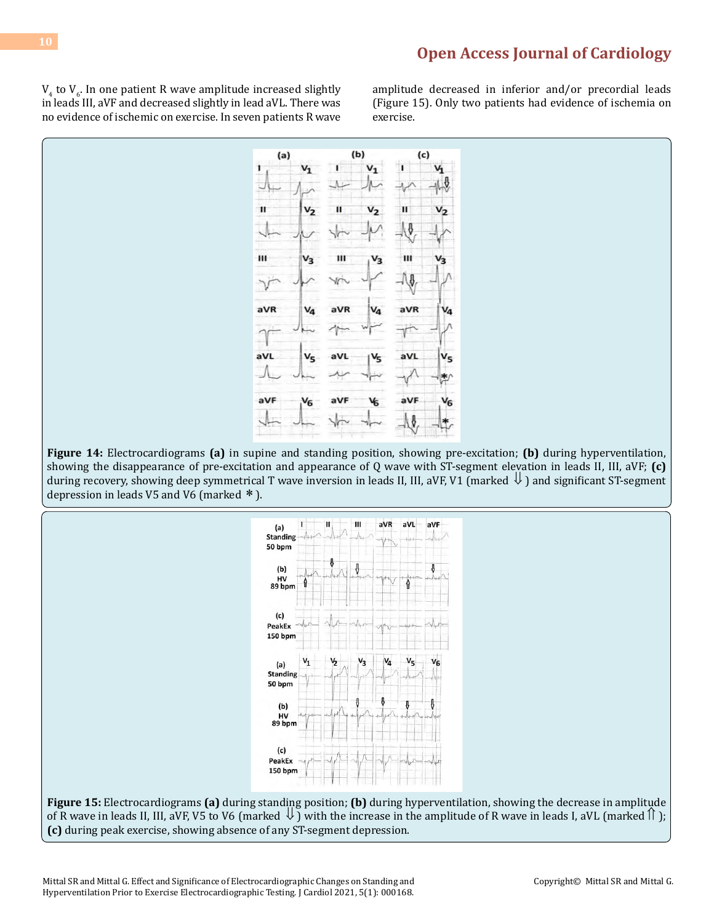$V_4$  to  $V_6$ . In one patient R wave amplitude increased slightly in leads III, aVF and decreased slightly in lead aVL. There was no evidence of ischemic on exercise. In seven patients R wave

amplitude decreased in inferior and/or precordial leads (Figure 15). Only two patients had evidence of ischemia on exercise.



**Figure 14:** Electrocardiograms **(a)** in supine and standing position, showing pre-excitation; **(b)** during hyperventilation, showing the disappearance of pre-excitation and appearance of Q wave with ST-segment elevation in leads II, III, aVF; **(c)** during recovery, showing deep symmetrical T wave inversion in leads II, III, aVF, V1 (marked  $\downarrow$ ) and significant ST-segment depression in leads V5 and V6 (marked  $*$  ).



**Figure 15:** Electrocardiograms **(a)** during standing position; **(b)** during hyperventilation, showing the decrease in amplitude of R wave in leads II, III, aVF, V5 to V6 (marked  $\bigcup$ ) with the increase in the amplitude of R wave in leads I, aVL (marked  $\bigcap$ ); **(c)** during peak exercise, showing absence of any ST-segment depression.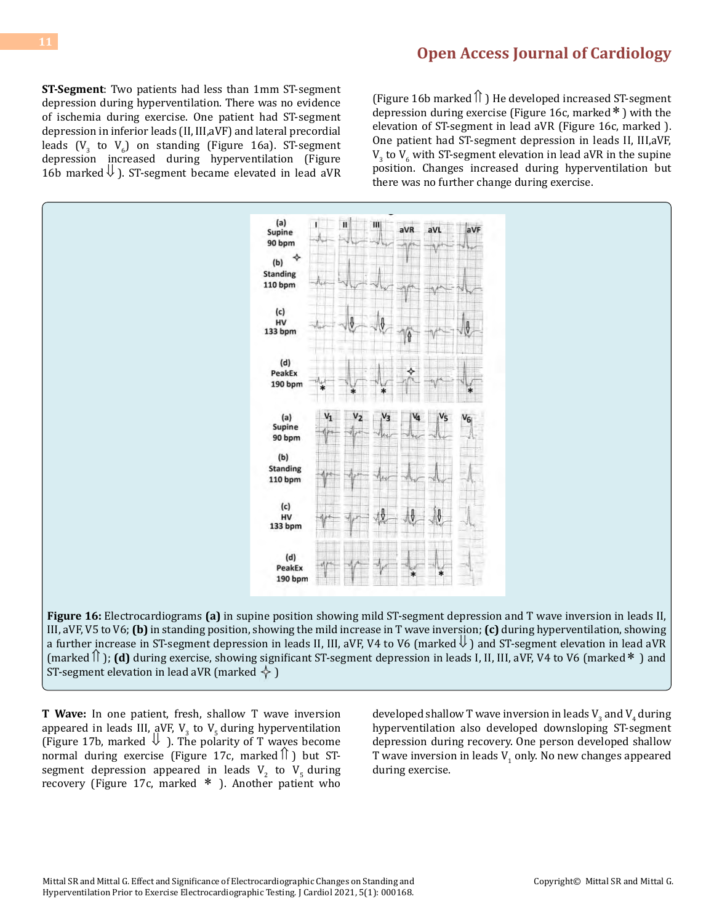**ST-Segment**: Two patients had less than 1mm ST-segment depression during hyperventilation. There was no evidence of ischemia during exercise. One patient had ST-segment depression in inferior leads (II, III,aVF) and lateral precordial leads  $(V_3$  to  $V_6$ ) on standing (Figure 16a). ST-segment depression increased during hyperventilation (Figure 16b marked  $\Downarrow$  ). ST-segment became elevated in lead aVR

(Figure 16b marked $\hat{\parallel}$ ) He developed increased ST-segment depression during exercise (Figure 16c, marked∗ ) with the elevation of ST-segment in lead aVR (Figure 16c, marked ). One patient had ST-segment depression in leads II, III,aVF,  $V_3$  to  $V_6$  with ST-segment elevation in lead aVR in the supine position. Changes increased during hyperventilation but there was no further change during exercise.



**Figure 16:** Electrocardiograms **(a)** in supine position showing mild ST-segment depression and T wave inversion in leads II, III, aVF, V5 to V6; **(b)** in standing position, showing the mild increase in T wave inversion; **(c)** during hyperventilation, showing a further increase in ST-segment depression in leads II, III, aVF, V4 to V6 (marked  $\Downarrow$  ) and ST-segment elevation in lead aVR (marked⇑ ); **(d)** during exercise, showing significant ST-segment depression in leads I, II, III, aVF, V4 to V6 (marked∗ ) and ST-segment elevation in lead aVR (marked  $\leftarrow$  )

**T Wave:** In one patient, fresh, shallow T wave inversion appeared in leads III, aVF,  $V_3$  to  $V_5$  during hyperventilation (Figure 17b, marked  $\Downarrow$  ). The polarity of T waves become normal during exercise (Figure 17c, marked $\hat{a}$ ) but STsegment depression appeared in leads  $V_2$  to  $V_5$  during recovery (Figure 17c, marked ∗ ). Another patient who

developed shallow T wave inversion in leads  $V_3$  and  $V_4$  during hyperventilation also developed downsloping ST-segment depression during recovery. One person developed shallow T wave inversion in leads  $V_1$  only. No new changes appeared during exercise.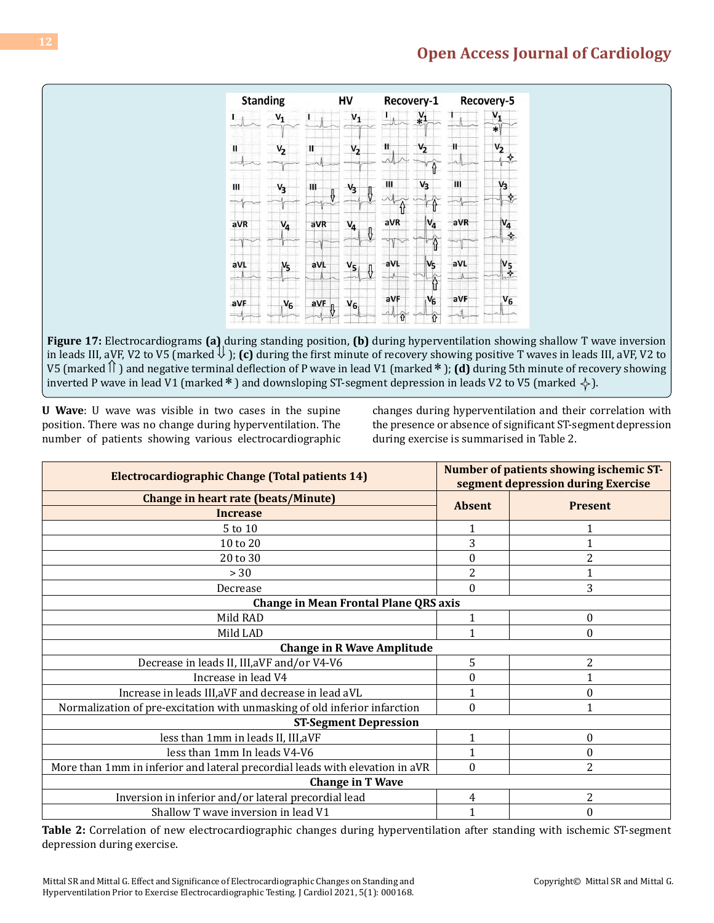|              | <b>Standing</b> |          | HV          |                       | Recovery-1                   |     | Recovery-5           |
|--------------|-----------------|----------|-------------|-----------------------|------------------------------|-----|----------------------|
| 1            | $V_1$           |          | $V_1$       |                       | $x_1$                        |     | $V_{1}$<br>$\ast$    |
| $\mathbf{I}$ | $V_2$           | Ш        | $V_2$       | Ħ                     | $V_2$                        | Ħ   | $V_2$<br>❖           |
| Ш            | $V_3$           | ш<br>⇩   | $V_3$<br>Į. | III                   | $V_3$                        | Ш   | V <sub>3</sub><br>♦. |
| aVR          | $V_4$           | aVR      | $V_4$<br>Ŷ. | $\hat{\theta}$<br>aVR | $V_4$                        | aVR | $V_4$<br>❖           |
| aVL          | $V_5$           | aVL      | $V_5$<br>⇩  | aVL<br>K              | ♦<br>V <sub>5</sub>          | aVL | $V_5$<br>bv          |
| aVF          | $V_6$           | aVF<br>Ą | $V_6$       | aVF<br>⇧              | $\hat{\theta}$<br>$V_6$<br>ô | aVF | $V_6$                |

**Figure 17:** Electrocardiograms **(a)** during standing position, **(b)** during hyperventilation showing shallow T wave inversion in leads III, aVF, V2 to V5 (marked  $\downarrow$ ); (c) during the first minute of recovery showing positive T waves in leads III, aVF, V2 to V5 (marked  $\hat{\parallel}$ ) and negative terminal deflection of P wave in lead V1 (marked \*); (**d**) during 5th minute of recovery showing inverted P wave in lead V1 (marked \*) and downsloping ST-segment depression in leads V2 to V5 (marked  $\diamondsuit$ ).

**U Wave**: U wave was visible in two cases in the supine position. There was no change during hyperventilation. The number of patients showing various electrocardiographic changes during hyperventilation and their correlation with the presence or absence of significant ST-segment depression during exercise is summarised in Table 2.

| <b>Electrocardiographic Change (Total patients 14)</b>                       | Number of patients showing ischemic ST-<br>segment depression during Exercise |                |  |  |  |
|------------------------------------------------------------------------------|-------------------------------------------------------------------------------|----------------|--|--|--|
| <b>Change in heart rate (beats/Minute)</b>                                   | <b>Absent</b>                                                                 | <b>Present</b> |  |  |  |
| <b>Increase</b>                                                              |                                                                               |                |  |  |  |
| 5 to 10                                                                      | 1                                                                             | 1              |  |  |  |
| 10 to 20                                                                     | 3                                                                             |                |  |  |  |
| 20 to 30                                                                     | 0                                                                             | 2              |  |  |  |
| >30                                                                          | 2                                                                             |                |  |  |  |
| Decrease                                                                     | 0                                                                             | 3              |  |  |  |
| <b>Change in Mean Frontal Plane QRS axis</b>                                 |                                                                               |                |  |  |  |
| Mild RAD                                                                     | 1                                                                             | 0              |  |  |  |
| Mild LAD                                                                     |                                                                               | 0              |  |  |  |
| <b>Change in R Wave Amplitude</b>                                            |                                                                               |                |  |  |  |
| Decrease in leads II, III, aVF and/or V4-V6                                  | 5                                                                             | 2              |  |  |  |
| Increase in lead V4                                                          | 0                                                                             |                |  |  |  |
| Increase in leads III, aVF and decrease in lead aVL                          |                                                                               | $\theta$       |  |  |  |
| Normalization of pre-excitation with unmasking of old inferior infarction    | 0                                                                             |                |  |  |  |
| <b>ST-Segment Depression</b>                                                 |                                                                               |                |  |  |  |
| less than 1mm in leads II, III, aVF                                          | 1                                                                             | $\mathbf{0}$   |  |  |  |
| less than 1mm In leads V4-V6                                                 |                                                                               | 0              |  |  |  |
| More than 1mm in inferior and lateral precordial leads with elevation in aVR | $\theta$                                                                      | 2              |  |  |  |
| <b>Change in T Wave</b>                                                      |                                                                               |                |  |  |  |
| Inversion in inferior and/or lateral precordial lead                         | 4                                                                             | $\overline{2}$ |  |  |  |
| Shallow T wave inversion in lead V1                                          |                                                                               | 0              |  |  |  |

**Table 2:** Correlation of new electrocardiographic changes during hyperventilation after standing with ischemic ST-segment depression during exercise.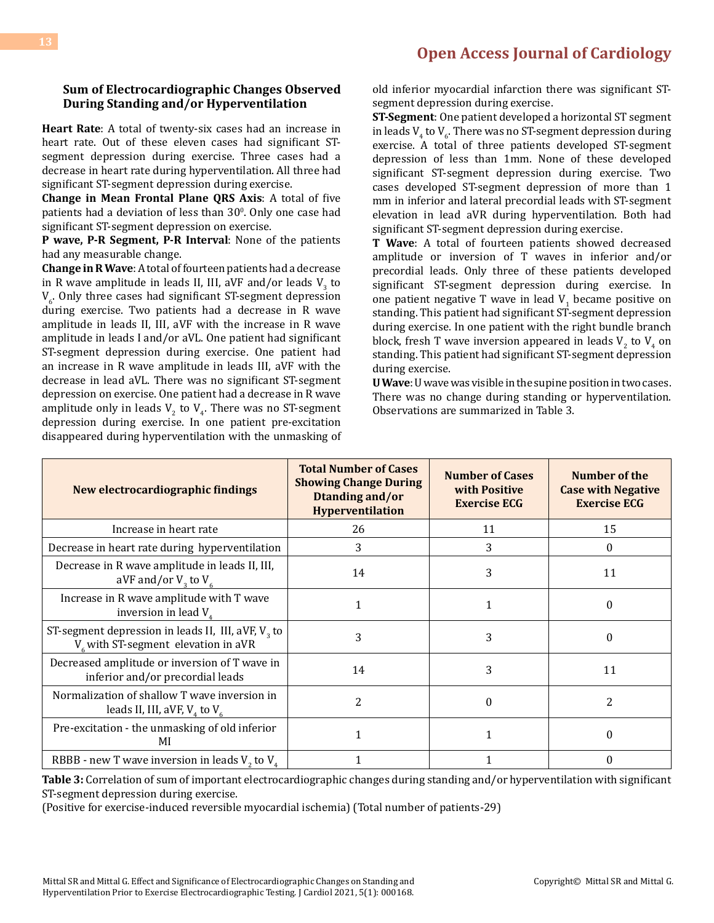#### **Sum of Electrocardiographic Changes Observed During Standing and/or Hyperventilation**

**Heart Rate**: A total of twenty-six cases had an increase in heart rate. Out of these eleven cases had significant STsegment depression during exercise. Three cases had a decrease in heart rate during hyperventilation. All three had significant ST-segment depression during exercise.

**Change in Mean Frontal Plane QRS Axis**: A total of five patients had a deviation of less than  $30^{\circ}$ . Only one case had significant ST-segment depression on exercise.

**P wave, P-R Segment, P-R Interval**: None of the patients had any measurable change.

**Change in R Wave**: A total of fourteen patients had a decrease in R wave amplitude in leads II, III, aVF and/or leads  $V_3$  to  $V_6$  Only three cases had significant ST-segment depression during exercise. Two patients had a decrease in R wave amplitude in leads II, III, aVF with the increase in R wave amplitude in leads I and/or aVL. One patient had significant ST-segment depression during exercise. One patient had an increase in R wave amplitude in leads III, aVF with the decrease in lead aVL. There was no significant ST-segment depression on exercise. One patient had a decrease in R wave amplitude only in leads  $V_2$  to  $V_4$ . There was no ST-segment depression during exercise. In one patient pre-excitation disappeared during hyperventilation with the unmasking of old inferior myocardial infarction there was significant STsegment depression during exercise.

**ST-Segment**: One patient developed a horizontal ST segment in leads  $V_4$  to  $V_6$ . There was no ST-segment depression during exercise. A total of three patients developed ST-segment depression of less than 1mm. None of these developed significant ST-segment depression during exercise. Two cases developed ST-segment depression of more than 1 mm in inferior and lateral precordial leads with ST-segment elevation in lead aVR during hyperventilation. Both had significant ST-segment depression during exercise.

**T Wave**: A total of fourteen patients showed decreased amplitude or inversion of T waves in inferior and/or precordial leads. Only three of these patients developed significant ST-segment depression during exercise. In one patient negative T wave in lead  $V_1$  became positive on standing. This patient had significant ST-segment depression during exercise. In one patient with the right bundle branch block, fresh T wave inversion appeared in leads  $V_2$  to  $V_4$  on standing. This patient had significant ST-segment depression during exercise.

**U Wave**: U wave was visible in the supine position in two cases. There was no change during standing or hyperventilation. Observations are summarized in Table 3.

| New electrocardiographic findings                                                                | <b>Total Number of Cases</b><br><b>Showing Change During</b><br>Dtanding and/or<br><b>Hyperventilation</b> | <b>Number of Cases</b><br>with Positive<br><b>Exercise ECG</b> | Number of the<br><b>Case with Negative</b><br><b>Exercise ECG</b> |
|--------------------------------------------------------------------------------------------------|------------------------------------------------------------------------------------------------------------|----------------------------------------------------------------|-------------------------------------------------------------------|
| Increase in heart rate                                                                           | 26                                                                                                         | 11                                                             | 15                                                                |
| Decrease in heart rate during hyperventilation                                                   | 3                                                                                                          | 3                                                              | 0                                                                 |
| Decrease in R wave amplitude in leads II, III,<br>aVF and/or $V_3$ to $V_6$                      | 14                                                                                                         | 3                                                              | 11                                                                |
| Increase in R wave amplitude with T wave<br>inversion in lead $V_a$                              | 1                                                                                                          |                                                                | $\theta$                                                          |
| ST-segment depression in leads II, III, aVF, $V3$ to<br>$V_{6}$ with ST-segment elevation in aVR | 3                                                                                                          | 3                                                              | $\Omega$                                                          |
| Decreased amplitude or inversion of T wave in<br>inferior and/or precordial leads                | 14                                                                                                         | 3                                                              | 11                                                                |
| Normalization of shallow T wave inversion in<br>leads II, III, aVF, $V_{4}$ to $V_{6}$           | $\overline{c}$                                                                                             | $\Omega$                                                       | $\overline{c}$                                                    |
| Pre-excitation - the unmasking of old inferior<br>MI                                             |                                                                                                            |                                                                | $\Omega$                                                          |
| RBBB - new T wave inversion in leads $V$ , to $V$ <sub><math>\lambda</math></sub>                |                                                                                                            |                                                                | $\Omega$                                                          |

**Table 3:** Correlation of sum of important electrocardiographic changes during standing and/or hyperventilation with significant ST-segment depression during exercise.

(Positive for exercise-induced reversible myocardial ischemia) (Total number of patients-29)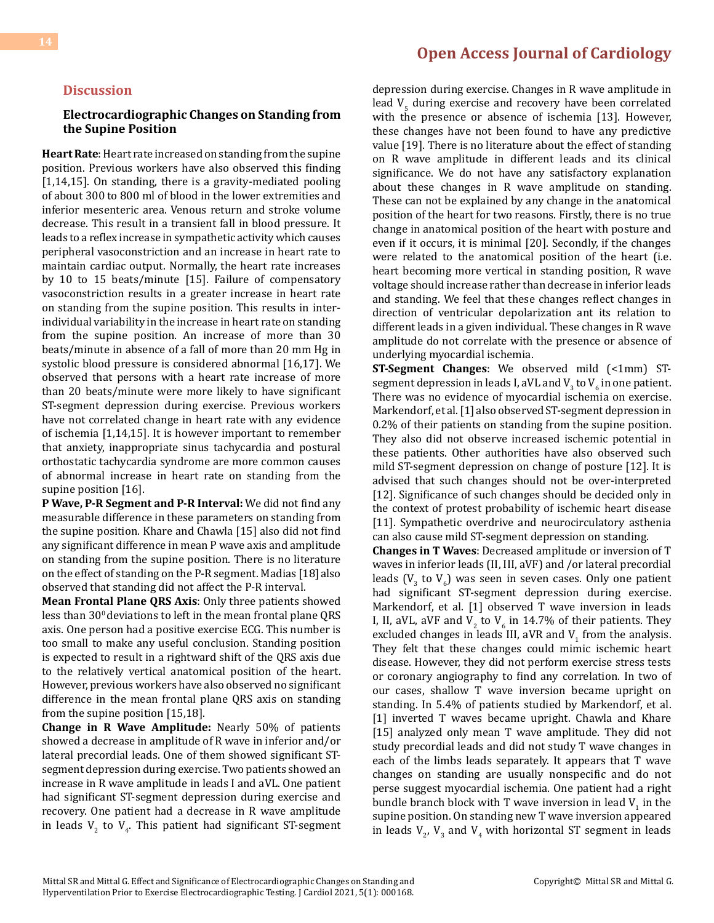### **Discussion**

#### **Electrocardiographic Changes on Standing from the Supine Position**

**Heart Rate**: Heart rate increased on standing from the supine position. Previous workers have also observed this finding [1,14,15]. On standing, there is a gravity-mediated pooling of about 300 to 800 ml of blood in the lower extremities and inferior mesenteric area. Venous return and stroke volume decrease. This result in a transient fall in blood pressure. It leads to a reflex increase in sympathetic activity which causes peripheral vasoconstriction and an increase in heart rate to maintain cardiac output. Normally, the heart rate increases by 10 to 15 beats/minute [15]. Failure of compensatory vasoconstriction results in a greater increase in heart rate on standing from the supine position. This results in interindividual variability in the increase in heart rate on standing from the supine position. An increase of more than 30 beats/minute in absence of a fall of more than 20 mm Hg in systolic blood pressure is considered abnormal [16,17]. We observed that persons with a heart rate increase of more than 20 beats/minute were more likely to have significant ST-segment depression during exercise. Previous workers have not correlated change in heart rate with any evidence of ischemia [1,14,15]. It is however important to remember that anxiety, inappropriate sinus tachycardia and postural orthostatic tachycardia syndrome are more common causes of abnormal increase in heart rate on standing from the supine position [16].

**P Wave, P-R Segment and P-R Interval:** We did not find any measurable difference in these parameters on standing from the supine position. Khare and Chawla [15] also did not find any significant difference in mean P wave axis and amplitude on standing from the supine position. There is no literature on the effect of standing on the P-R segment. Madias [18]also observed that standing did not affect the P-R interval.

**Mean Frontal Plane QRS Axis**: Only three patients showed less than  $30^{\circ}$  deviations to left in the mean frontal plane ORS axis. One person had a positive exercise ECG. This number is too small to make any useful conclusion. Standing position is expected to result in a rightward shift of the QRS axis due to the relatively vertical anatomical position of the heart. However, previous workers have also observed no significant difference in the mean frontal plane QRS axis on standing from the supine position [15,18].

**Change in R Wave Amplitude:** Nearly 50% of patients showed a decrease in amplitude of R wave in inferior and/or lateral precordial leads. One of them showed significant STsegment depression during exercise. Two patients showed an increase in R wave amplitude in leads I and aVL. One patient had significant ST-segment depression during exercise and recovery. One patient had a decrease in R wave amplitude in leads  $V_2$  to  $V_4$ . This patient had significant ST-segment

### **[Open Access Journal of Cardiology](https://medwinpublishers.com/OAJC/)**

depression during exercise. Changes in R wave amplitude in lead  $V_{5}$  during exercise and recovery have been correlated with the presence or absence of ischemia [13]. However, these changes have not been found to have any predictive value [19]. There is no literature about the effect of standing on R wave amplitude in different leads and its clinical significance. We do not have any satisfactory explanation about these changes in R wave amplitude on standing. These can not be explained by any change in the anatomical position of the heart for two reasons. Firstly, there is no true change in anatomical position of the heart with posture and even if it occurs, it is minimal [20]. Secondly, if the changes were related to the anatomical position of the heart (i.e. heart becoming more vertical in standing position, R wave voltage should increase rather than decrease in inferior leads and standing. We feel that these changes reflect changes in direction of ventricular depolarization ant its relation to different leads in a given individual. These changes in R wave amplitude do not correlate with the presence or absence of underlying myocardial ischemia.

**ST-Segment Changes**: We observed mild (<1mm) STsegment depression in leads I, aVL and V<sub>3</sub> to V<sub>6</sub> in one patient.<br>— There was no evidence of myocardial ischemia on exercise. Markendorf, et al. [1] also observed ST-segment depression in 0.2% of their patients on standing from the supine position. They also did not observe increased ischemic potential in these patients. Other authorities have also observed such mild ST-segment depression on change of posture [12]. It is advised that such changes should not be over-interpreted [12]. Significance of such changes should be decided only in the context of protest probability of ischemic heart disease [11]. Sympathetic overdrive and neurocirculatory asthenia can also cause mild ST-segment depression on standing.

**Changes in T Waves**: Decreased amplitude or inversion of T waves in inferior leads (II, III, aVF) and /or lateral precordial leads ( $V_3$  to  $V_6$ ) was seen in seven cases. Only one patient had significant ST-segment depression during exercise. Markendorf, et al. [1] observed T wave inversion in leads I, II, aVL, aVF and  $V_2$  to  $V_6$  in 14.7% of their patients. They excluded changes in leads III, aVR and  $V_1$  from the analysis. They felt that these changes could mimic ischemic heart disease. However, they did not perform exercise stress tests or coronary angiography to find any correlation. In two of our cases, shallow T wave inversion became upright on standing. In 5.4% of patients studied by Markendorf, et al. [1] inverted T waves became upright. Chawla and Khare [15] analyzed only mean T wave amplitude. They did not study precordial leads and did not study T wave changes in each of the limbs leads separately. It appears that T wave changes on standing are usually nonspecific and do not perse suggest myocardial ischemia. One patient had a right bundle branch block with T wave inversion in lead  $V_1$  in the supine position. On standing new T wave inversion appeared in leads  $V_{2}$ ,  $V_{3}$  and  $V_{4}$  with horizontal ST segment in leads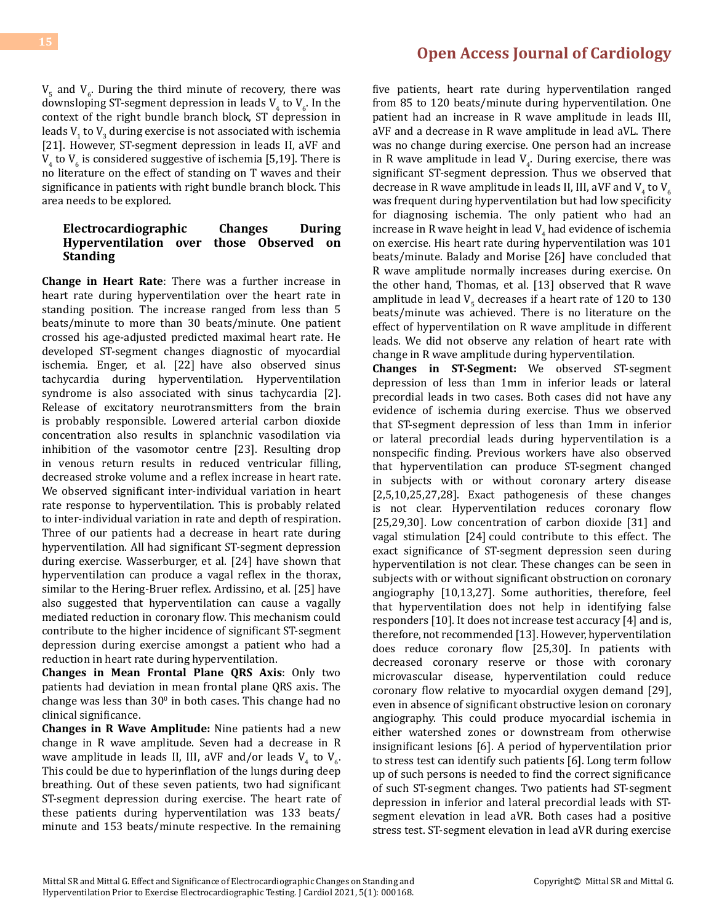$V_5$  and  $V_6$ . During the third minute of recovery, there was downsloping ST-segment depression in leads  $V_4$  to  $V_6$ . In the context of the right bundle branch block, ST depression in leads  $V_1$  to  $V_3$  during exercise is not associated with ischemia [21]. However, ST-segment depression in leads II, aVF and  $V_4$  to  $V_6$  is considered suggestive of ischemia [5,19]. There is no literature on the effect of standing on T waves and their significance in patients with right bundle branch block. This area needs to be explored.

#### **Electrocardiographic Changes During Hyperventilation over those Observed on Standing**

**Change in Heart Rate**: There was a further increase in heart rate during hyperventilation over the heart rate in standing position. The increase ranged from less than 5 beats/minute to more than 30 beats/minute. One patient crossed his age-adjusted predicted maximal heart rate. He developed ST-segment changes diagnostic of myocardial ischemia. Enger, et al. [22] have also observed sinus tachycardia during hyperventilation. Hyperventilation syndrome is also associated with sinus tachycardia [2]. Release of excitatory neurotransmitters from the brain is probably responsible. Lowered arterial carbon dioxide concentration also results in splanchnic vasodilation via inhibition of the vasomotor centre [23]. Resulting drop in venous return results in reduced ventricular filling, decreased stroke volume and a reflex increase in heart rate. We observed significant inter-individual variation in heart rate response to hyperventilation. This is probably related to inter-individual variation in rate and depth of respiration. Three of our patients had a decrease in heart rate during hyperventilation. All had significant ST-segment depression during exercise. Wasserburger, et al. [24] have shown that hyperventilation can produce a vagal reflex in the thorax, similar to the Hering-Bruer reflex. Ardissino, et al. [25] have also suggested that hyperventilation can cause a vagally mediated reduction in coronary flow. This mechanism could contribute to the higher incidence of significant ST-segment depression during exercise amongst a patient who had a reduction in heart rate during hyperventilation.

**Changes in Mean Frontal Plane QRS Axis**: Only two patients had deviation in mean frontal plane QRS axis. The change was less than 30<sup>°</sup> in both cases. This change had no clinical significance.

**Changes in R Wave Amplitude:** Nine patients had a new change in R wave amplitude. Seven had a decrease in R wave amplitude in leads II, III, aVF and/or leads  $V_4$  to  $V_6$ . This could be due to hyperinflation of the lungs during deep breathing. Out of these seven patients, two had significant ST-segment depression during exercise. The heart rate of these patients during hyperventilation was 133 beats/ minute and 153 beats/minute respective. In the remaining

### **[Open Access Journal of Cardiology](https://medwinpublishers.com/OAJC/)**

five patients, heart rate during hyperventilation ranged from 85 to 120 beats/minute during hyperventilation. One patient had an increase in R wave amplitude in leads III, aVF and a decrease in R wave amplitude in lead aVL. There was no change during exercise. One person had an increase in R wave amplitude in lead  $V_4$ . During exercise, there was significant ST-segment depression. Thus we observed that decrease in R wave amplitude in leads II, III, aVF and  $V_4$  to  $V_6$ was frequent during hyperventilation but had low specificity for diagnosing ischemia. The only patient who had an increase in R wave height in lead  $V_4$  had evidence of ischemia on exercise. His heart rate during hyperventilation was 101 beats/minute. Balady and Morise [26] have concluded that R wave amplitude normally increases during exercise. On the other hand, Thomas, et al. [13] observed that R wave amplitude in lead  $V_5$  decreases if a heart rate of 120 to 130 beats/minute was achieved. There is no literature on the effect of hyperventilation on R wave amplitude in different leads. We did not observe any relation of heart rate with change in R wave amplitude during hyperventilation.

**Changes in ST-Segment:** We observed ST-segment depression of less than 1mm in inferior leads or lateral precordial leads in two cases. Both cases did not have any evidence of ischemia during exercise. Thus we observed that ST-segment depression of less than 1mm in inferior or lateral precordial leads during hyperventilation is a nonspecific finding. Previous workers have also observed that hyperventilation can produce ST-segment changed in subjects with or without coronary artery disease [2,5,10,25,27,28]. Exact pathogenesis of these changes is not clear. Hyperventilation reduces coronary flow [25,29,30]. Low concentration of carbon dioxide [31] and vagal stimulation [24] could contribute to this effect. The exact significance of ST-segment depression seen during hyperventilation is not clear. These changes can be seen in subjects with or without significant obstruction on coronary angiography [10,13,27]. Some authorities, therefore, feel that hyperventilation does not help in identifying false responders [10]. It does not increase test accuracy [4] and is, therefore, not recommended [13]. However, hyperventilation does reduce coronary flow [25,30]. In patients with decreased coronary reserve or those with coronary microvascular disease, hyperventilation could reduce coronary flow relative to myocardial oxygen demand [29], even in absence of significant obstructive lesion on coronary angiography. This could produce myocardial ischemia in either watershed zones or downstream from otherwise insignificant lesions [6]. A period of hyperventilation prior to stress test can identify such patients [6]. Long term follow up of such persons is needed to find the correct significance of such ST-segment changes. Two patients had ST-segment depression in inferior and lateral precordial leads with STsegment elevation in lead aVR. Both cases had a positive stress test. ST-segment elevation in lead aVR during exercise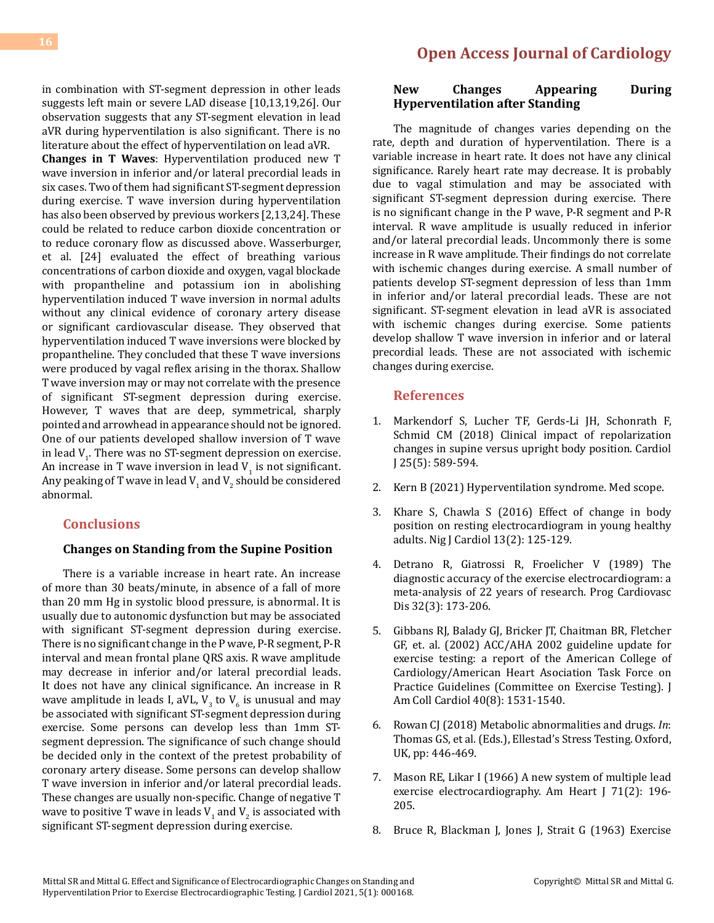in combination with ST-segment depression in other leads suggests left main or severe LAD disease [10,13,19,26]. Our observation suggests that any ST-segment elevation in lead aVR during hyperventilation is also significant. There is no literature about the effect of hyperventilation on lead aVR.

**Changes in T Waves**: Hyperventilation produced new T wave inversion in inferior and/or lateral precordial leads in six cases. Two of them had significant ST-segment depression during exercise. T wave inversion during hyperventilation has also been observed by previous workers [2,13,24]. These could be related to reduce carbon dioxide concentration or to reduce coronary flow as discussed above. Wasserburger, et al. [24] evaluated the effect of breathing various concentrations of carbon dioxide and oxygen, vagal blockade with propantheline and potassium ion in abolishing hyperventilation induced T wave inversion in normal adults without any clinical evidence of coronary artery disease or significant cardiovascular disease. They observed that hyperventilation induced T wave inversions were blocked by propantheline. They concluded that these T wave inversions were produced by vagal reflex arising in the thorax. Shallow T wave inversion may or may not correlate with the presence of significant ST-segment depression during exercise. However, T waves that are deep, symmetrical, sharply pointed and arrowhead in appearance should not be ignored. One of our patients developed shallow inversion of T wave in lead  $V_1$ . There was no ST-segment depression on exercise. An increase in T wave inversion in lead  $V_1$  is not significant. Any peaking of T wave in lead  $V_1$  and  $V_2$  should be considered abnormal.

### **Conclusions**

### **Changes on Standing from the Supine Position**

There is a variable increase in heart rate. An increase of more than 30 beats/minute, in absence of a fall of more than 20 mm Hg in systolic blood pressure, is abnormal. It is usually due to autonomic dysfunction but may be associated with significant ST-segment depression during exercise. There is no significant change in the P wave, P-R segment, P-R interval and mean frontal plane QRS axis. R wave amplitude may decrease in inferior and/or lateral precordial leads. It does not have any clinical significance. An increase in R wave amplitude in leads I, aVL,  $V_3$  to  $V_6$  is unusual and may be associated with significant ST-segment depression during exercise. Some persons can develop less than 1mm STsegment depression. The significance of such change should be decided only in the context of the pretest probability of coronary artery disease. Some persons can develop shallow T wave inversion in inferior and/or lateral precordial leads. These changes are usually non-specific. Change of negative T wave to positive T wave in leads  $V_1$  and  $V_2$  is associated with significant ST-segment depression during exercise.

### **New Changes Appearing During Hyperventilation after Standing**

The magnitude of changes varies depending on the rate, depth and duration of hyperventilation. There is a variable increase in heart rate. It does not have any clinical significance. Rarely heart rate may decrease. It is probably due to vagal stimulation and may be associated with significant ST-segment depression during exercise. There is no significant change in the P wave, P-R segment and P-R interval. R wave amplitude is usually reduced in inferior and/or lateral precordial leads. Uncommonly there is some increase in R wave amplitude. Their findings do not correlate with ischemic changes during exercise. A small number of patients develop ST-segment depression of less than 1mm in inferior and/or lateral precordial leads. These are not significant. ST-segment elevation in lead aVR is associated with ischemic changes during exercise. Some patients develop shallow T wave inversion in inferior and or lateral precordial leads. These are not associated with ischemic changes during exercise.

### **References**

- 1. [Markendorf S, Lucher TF, Gerds-Li JH, Schonrath F,](https://pubmed.ncbi.nlm.nih.gov/29240965/)  [Schmid CM \(2018\) Clinical impact of repolarization](https://pubmed.ncbi.nlm.nih.gov/29240965/) [changes in supine versus upright body position. Cardiol](https://pubmed.ncbi.nlm.nih.gov/29240965/) [J 25\(5\): 589-594.](https://pubmed.ncbi.nlm.nih.gov/29240965/)
- 2. [Kern B \(2021\) Hyperventilation syndrome. Med scope.](https://emedicine.medscape.com/article/807277-overview)
- 3. [Khare S, Chawla S \(2016\) Effect of change in body](https://www.nigjcardiol.org/article.asp?issn=0189-7969;year=2016;volume=13;issue=2;spage=125;epage=129;aulast=Khare) [position on resting electrocardiogram in young healthy](https://www.nigjcardiol.org/article.asp?issn=0189-7969;year=2016;volume=13;issue=2;spage=125;epage=129;aulast=Khare)  [adults. Nig J Cardiol 13\(2\): 125-129.](https://www.nigjcardiol.org/article.asp?issn=0189-7969;year=2016;volume=13;issue=2;spage=125;epage=129;aulast=Khare)
- 4. [Detrano R, Giatrossi R, Froelicher V \(1989\) The](https://www.sciencedirect.com/science/article/abs/pii/003306208990025X) [diagnostic accuracy of the exercise electrocardiogram: a](https://www.sciencedirect.com/science/article/abs/pii/003306208990025X)  [meta-analysis of 22 years of research. Prog Cardiovasc](https://www.sciencedirect.com/science/article/abs/pii/003306208990025X)  [Dis 32\(3\): 173-206.](https://www.sciencedirect.com/science/article/abs/pii/003306208990025X)
- 5. [Gibbans RJ, Balady GJ, Bricker JT, Chaitman BR, Fletcher](https://pubmed.ncbi.nlm.nih.gov/12392846/) [GF, et. al. \(2002\) ACC/AHA 2002 guideline update for](https://pubmed.ncbi.nlm.nih.gov/12392846/) [exercise testing: a report of the American College of](https://pubmed.ncbi.nlm.nih.gov/12392846/)  [Cardiology/American Heart Asociation Task Force on](https://pubmed.ncbi.nlm.nih.gov/12392846/)  [Practice Guidelines \(Committee on Exercise Testing\). J](https://pubmed.ncbi.nlm.nih.gov/12392846/) [Am Coll Cardiol 40\(8\): 1531-1540.](https://pubmed.ncbi.nlm.nih.gov/12392846/)
- 6. Rowan CJ (2018) Metabolic abnormalities and drugs. *In*: Thomas GS, et al. (Eds.), Ellestad's Stress Testing. Oxford, UK, pp: 446-469.
- 7. [Mason RE, Likar I \(1966\) A new system of multiple lead](https://pubmed.ncbi.nlm.nih.gov/5902099/)  [exercise electrocardiography. Am Heart J 71\(2\): 196-](https://pubmed.ncbi.nlm.nih.gov/5902099/) [205.](https://pubmed.ncbi.nlm.nih.gov/5902099/)
- 8. Bruce R, Blackman J, Jones J, Strait G (1963) Exercise